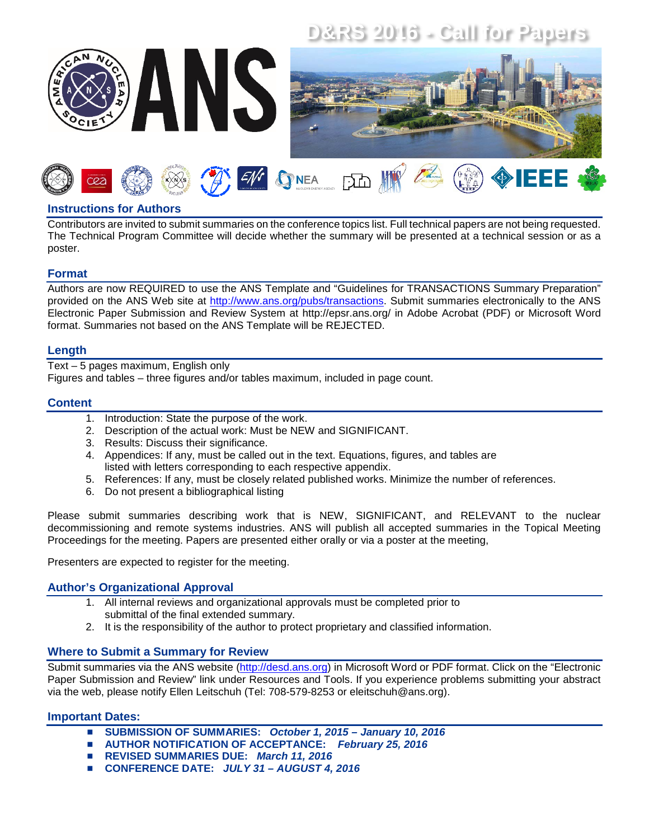# **D&RS 2016 - Call for Papers**





## **Instructions for Authors**

Contributors are invited to submit summaries on the conference topics list. Full technical papers are not being requested. The Technical Program Committee will decide whether the summary will be presented at a technical session or as a poster.

### **Format**

Authors are now REQUIRED to use the ANS Template and "Guidelines for TRANSACTIONS Summary Preparation" provided on the ANS Web site at [http://www.ans.org/pubs/transactions.](http://www.ans.org/pubs/transactions) Submit summaries electronically to the ANS Electronic Paper Submission and Review System at http://epsr.ans.org/ in Adobe Acrobat (PDF) or Microsoft Word format. Summaries not based on the ANS Template will be REJECTED.

#### **Length**

Text – 5 pages maximum, English only

Figures and tables – three figures and/or tables maximum, included in page count.

#### **Content**

- 1. Introduction: State the purpose of the work.
- 2. Description of the actual work: Must be NEW and SIGNIFICANT.
- 3. Results: Discuss their significance.
- 4. Appendices: If any, must be called out in the text. Equations, figures, and tables are listed with letters corresponding to each respective appendix.
- 5. References: If any, must be closely related published works. Minimize the number of references.
- 6. Do not present a bibliographical listing

Please submit summaries describing work that is NEW, SIGNIFICANT, and RELEVANT to the nuclear decommissioning and remote systems industries. ANS will publish all accepted summaries in the Topical Meeting Proceedings for the meeting. Papers are presented either orally or via a poster at the meeting,

Presenters are expected to register for the meeting.

#### **Author's Organizational Approval**

- 1. All internal reviews and organizational approvals must be completed prior to submittal of the final extended summary.
- 2. It is the responsibility of the author to protect proprietary and classified information.

#### **Where to Submit a Summary for Review**

Submit summaries via the ANS website [\(http://desd.ans.org\)](http://desd.ans.org/) in Microsoft Word or PDF format. Click on the "Electronic Paper Submission and Review" link under Resources and Tools. If you experience problems submitting your abstract via the web, please notify Ellen Leitschuh (Tel: 708-579-8253 or eleitschuh@ans.org).

#### **Important Dates:**

- **SUBMISSION OF SUMMARIES:** *October 1, 2015 – January 10, 2016*
- **AUTHOR NOTIFICATION OF ACCEPTANCE:** *February 25, 2016*
- **REVISED SUMMARIES DUE:** *March 11, 2016*
- **CONFERENCE DATE:** *JULY 31 – AUGUST 4, 2016*